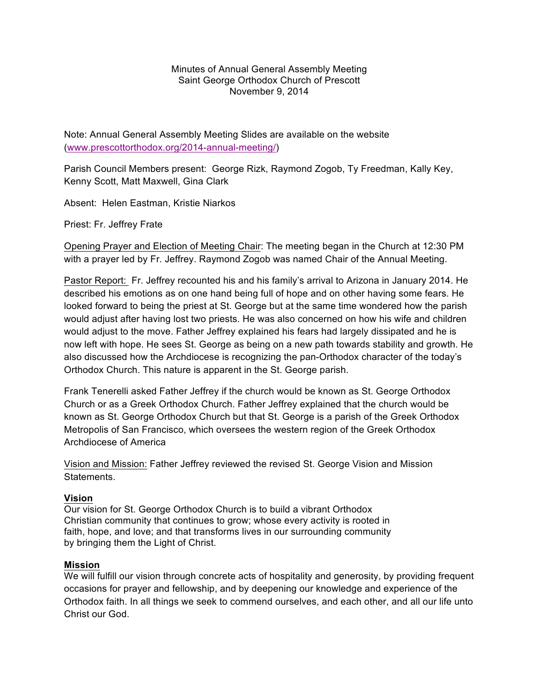## Minutes of Annual General Assembly Meeting Saint George Orthodox Church of Prescott November 9, 2014

Note: Annual General Assembly Meeting Slides are available on the website (www.prescottorthodox.org/2014-annual-meeting/)

Parish Council Members present: George Rizk, Raymond Zogob, Ty Freedman, Kally Key, Kenny Scott, Matt Maxwell, Gina Clark

Absent: Helen Eastman, Kristie Niarkos

Priest: Fr. Jeffrey Frate

Opening Prayer and Election of Meeting Chair: The meeting began in the Church at 12:30 PM with a prayer led by Fr. Jeffrey. Raymond Zogob was named Chair of the Annual Meeting.

Pastor Report: Fr. Jeffrey recounted his and his family's arrival to Arizona in January 2014. He described his emotions as on one hand being full of hope and on other having some fears. He looked forward to being the priest at St. George but at the same time wondered how the parish would adjust after having lost two priests. He was also concerned on how his wife and children would adjust to the move. Father Jeffrey explained his fears had largely dissipated and he is now left with hope. He sees St. George as being on a new path towards stability and growth. He also discussed how the Archdiocese is recognizing the pan-Orthodox character of the today's Orthodox Church. This nature is apparent in the St. George parish.

Frank Tenerelli asked Father Jeffrey if the church would be known as St. George Orthodox Church or as a Greek Orthodox Church. Father Jeffrey explained that the church would be known as St. George Orthodox Church but that St. George is a parish of the Greek Orthodox Metropolis of San Francisco, which oversees the western region of the Greek Orthodox Archdiocese of America

Vision and Mission: Father Jeffrey reviewed the revised St. George Vision and Mission **Statements** 

## **Vision**

Our vision for St. George Orthodox Church is to build a vibrant Orthodox Christian community that continues to grow; whose every activity is rooted in faith, hope, and love; and that transforms lives in our surrounding community by bringing them the Light of Christ.

## **Mission**

We will fulfill our vision through concrete acts of hospitality and generosity, by providing frequent occasions for prayer and fellowship, and by deepening our knowledge and experience of the Orthodox faith. In all things we seek to commend ourselves, and each other, and all our life unto Christ our God.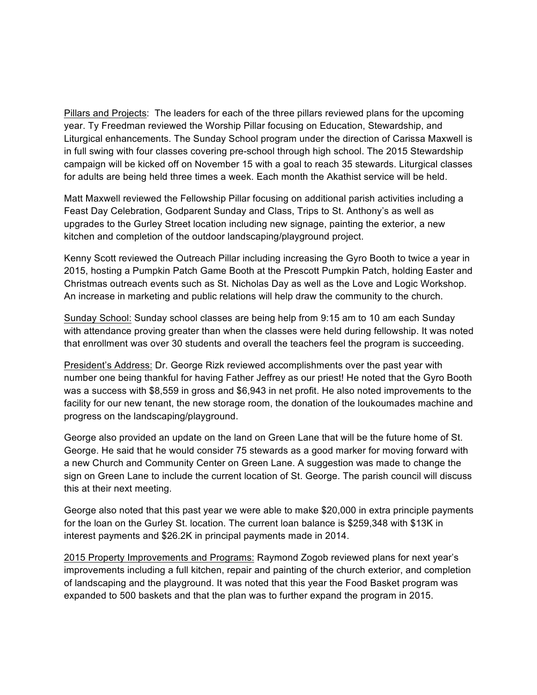Pillars and Projects: The leaders for each of the three pillars reviewed plans for the upcoming year. Ty Freedman reviewed the Worship Pillar focusing on Education, Stewardship, and Liturgical enhancements. The Sunday School program under the direction of Carissa Maxwell is in full swing with four classes covering pre-school through high school. The 2015 Stewardship campaign will be kicked off on November 15 with a goal to reach 35 stewards. Liturgical classes for adults are being held three times a week. Each month the Akathist service will be held.

Matt Maxwell reviewed the Fellowship Pillar focusing on additional parish activities including a Feast Day Celebration, Godparent Sunday and Class, Trips to St. Anthony's as well as upgrades to the Gurley Street location including new signage, painting the exterior, a new kitchen and completion of the outdoor landscaping/playground project.

Kenny Scott reviewed the Outreach Pillar including increasing the Gyro Booth to twice a year in 2015, hosting a Pumpkin Patch Game Booth at the Prescott Pumpkin Patch, holding Easter and Christmas outreach events such as St. Nicholas Day as well as the Love and Logic Workshop. An increase in marketing and public relations will help draw the community to the church.

Sunday School: Sunday school classes are being help from 9:15 am to 10 am each Sunday with attendance proving greater than when the classes were held during fellowship. It was noted that enrollment was over 30 students and overall the teachers feel the program is succeeding.

President's Address: Dr. George Rizk reviewed accomplishments over the past year with number one being thankful for having Father Jeffrey as our priest! He noted that the Gyro Booth was a success with \$8,559 in gross and \$6,943 in net profit. He also noted improvements to the facility for our new tenant, the new storage room, the donation of the loukoumades machine and progress on the landscaping/playground.

George also provided an update on the land on Green Lane that will be the future home of St. George. He said that he would consider 75 stewards as a good marker for moving forward with a new Church and Community Center on Green Lane. A suggestion was made to change the sign on Green Lane to include the current location of St. George. The parish council will discuss this at their next meeting.

George also noted that this past year we were able to make \$20,000 in extra principle payments for the loan on the Gurley St. location. The current loan balance is \$259,348 with \$13K in interest payments and \$26.2K in principal payments made in 2014.

2015 Property Improvements and Programs: Raymond Zogob reviewed plans for next year's improvements including a full kitchen, repair and painting of the church exterior, and completion of landscaping and the playground. It was noted that this year the Food Basket program was expanded to 500 baskets and that the plan was to further expand the program in 2015.